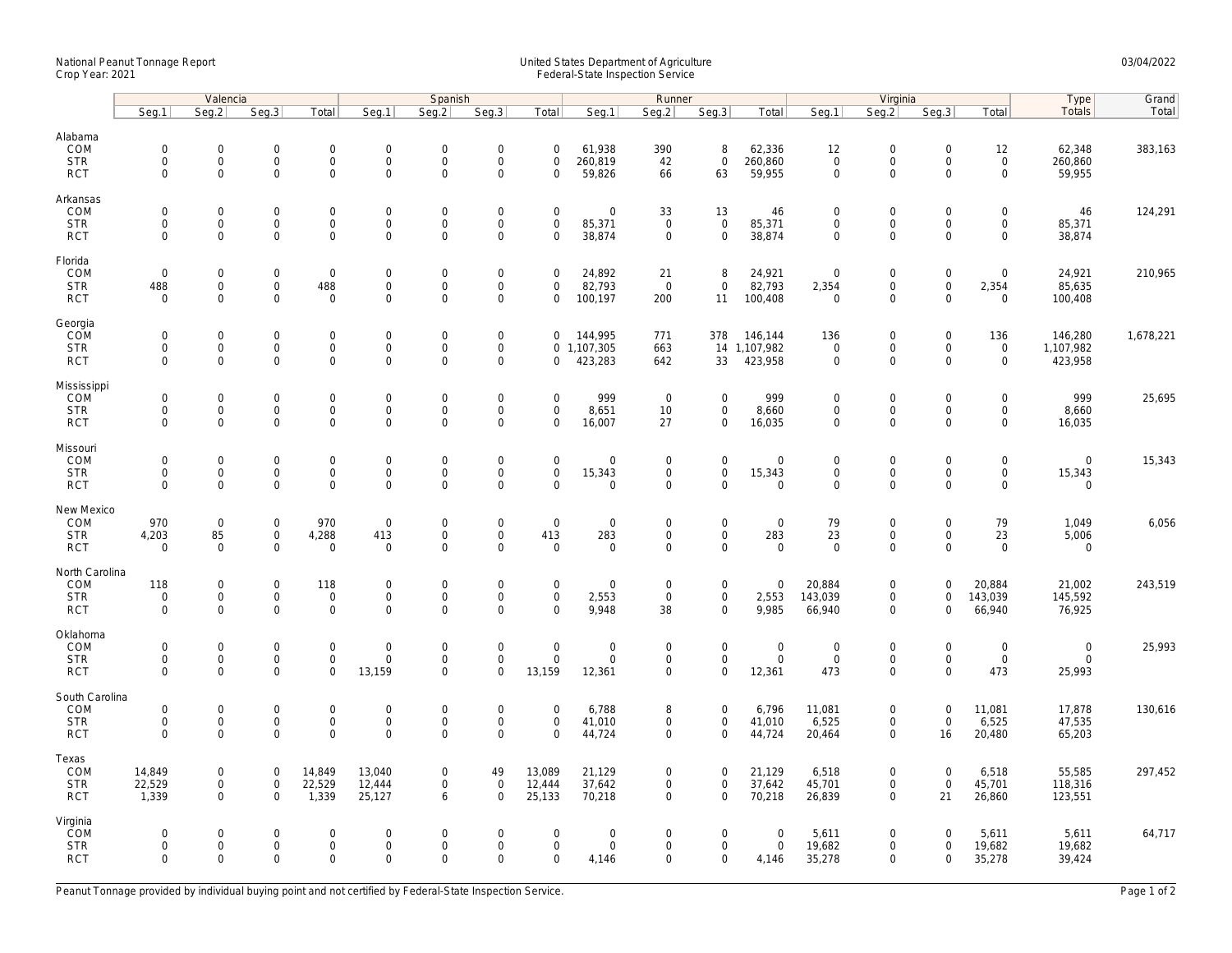## National Peanut Tonnage Report United States Department of Agriculture 03/04/2022<br>Crop Year: 2021 Federal-State Inspection Service

|                                                   | Valencia                                               |                                                   |                                                           |                                         | Spanish                                                |                                                           |                                                           |                                                        | Runner                                               |                                                   |                                                    |                                        | Virginia                                                  |                                                           |                                                        |                                                   | Type                                  | Grand     |
|---------------------------------------------------|--------------------------------------------------------|---------------------------------------------------|-----------------------------------------------------------|-----------------------------------------|--------------------------------------------------------|-----------------------------------------------------------|-----------------------------------------------------------|--------------------------------------------------------|------------------------------------------------------|---------------------------------------------------|----------------------------------------------------|----------------------------------------|-----------------------------------------------------------|-----------------------------------------------------------|--------------------------------------------------------|---------------------------------------------------|---------------------------------------|-----------|
|                                                   | Seg.1                                                  | Seq.2                                             | Seg.3                                                     | Total                                   | Seq.1                                                  | Seq.2                                                     | Seq.3                                                     | Total                                                  | Seg.1                                                | Seg.2                                             | Seq.3                                              | Total                                  | Seg.1                                                     | Seg.2                                                     | Seq.3                                                  | Total                                             | Totals                                | Total     |
| Alabama<br>COM<br><b>STR</b><br><b>RCT</b>        | $\mathsf{O}\xspace$<br>$\mathbf 0$<br>$\mathbf 0$      | $\mathbf 0$<br>$\mathsf{O}\xspace$<br>$\mathbf 0$ | $\mathsf{O}\xspace$<br>$\mathbf 0$<br>$\mathbf 0$         | $\mathbf 0$<br>$\mathsf{O}\xspace$<br>0 | $\mathbf 0$<br>$\mathsf{O}\xspace$<br>$\mathbf 0$      | $\mathbf 0$<br>$\mathbf{0}$<br>$\mathbf 0$                | $\mathbf 0$<br>$\mathsf{O}\xspace$<br>$\mathbf 0$         | $\mathbf 0$<br>$\mathbf 0$<br>$\mathbf 0$              | 61,938<br>260,819<br>59,826                          | 390<br>42<br>66                                   | 8<br>$\mathsf{O}\xspace$<br>63                     | 62,336<br>260,860<br>59,955            | 12<br>$\overline{0}$<br>$\mathsf{O}\xspace$               | $\mathsf{O}\xspace$<br>$\mathsf{O}\xspace$<br>$\mathbf 0$ | $\mathsf{O}\xspace$<br>$\mathbf 0$<br>$\mathbf 0$      | 12<br>$\mathsf{O}\xspace$<br>$\mathbf 0$          | 62,348<br>260,860<br>59,955           | 383,163   |
| Arkansas<br>COM<br><b>STR</b><br><b>RCT</b>       | $\mathbf 0$<br>$\mathbf 0$<br>$\mathbf 0$              | $\mathbf 0$<br>$\mathbf 0$<br>$\mathbf 0$         | $\mathsf{O}\xspace$<br>$\mathbf 0$<br>$\mathbf 0$         | 0<br>$\overline{0}$<br>0                | $\mathbf 0$<br>$\mathbf 0$<br>$\mathbf 0$              | $\mathsf{O}\xspace$<br>$\mathbf{0}$<br>$\mathbf 0$        | $\mathbf 0$<br>$\mathbf 0$<br>$\mathbf 0$                 | $\mathbf 0$<br>$\mathbf 0$<br>$\mathbf 0$              | $\mathsf{O}\xspace$<br>85,371<br>38,874              | 33<br>$\mathbf 0$<br>$\mathbf 0$                  | 13<br>$\mathbf{0}$<br>$\mathbf 0$                  | 46<br>85,371<br>38,874                 | $\mathbf 0$<br>$\mathbf{0}$<br>$\mathbf 0$                | $\mathsf{O}\xspace$<br>$\mathbf 0$<br>$\mathbf 0$         | $\mathbf{0}$<br>$\mathbf 0$<br>$\mathbf 0$             | $\mathsf{O}\xspace$<br>$\mathbf 0$<br>$\mathbf 0$ | 46<br>85,371<br>38,874                | 124,291   |
| Florida<br>COM<br><b>STR</b><br><b>RCT</b>        | $\mathsf{O}\xspace$<br>488<br>$\Omega$                 | $\mathbf 0$<br>$\mathbf 0$<br>$\Omega$            | $\mathsf{O}\xspace$<br>$\mathbf 0$<br>$\mathbf 0$         | $\mathsf 0$<br>488<br>$\mathbf 0$       | $\mathsf{O}\xspace$<br>$\mathsf 0$<br>$\mathsf 0$      | $\mathsf{O}\xspace$<br>$\mathbf 0$<br>$\Omega$            | $\mathbf 0$<br>$\mathbf 0$<br>$\mathbf 0$                 | $\mathbf 0$<br>$\mathbf 0$<br>$\Omega$                 | 24,892<br>82,793<br>100,197                          | 21<br>$\overline{0}$<br>200                       | 8<br>$\mathbf 0$<br>11                             | 24,921<br>82,793<br>100,408            | $\mathbf 0$<br>2,354<br>$\mathbf 0$                       | $\mathsf{O}\xspace$<br>$\mathsf{O}\xspace$<br>$\mathbf 0$ | $\mathsf{O}\xspace$<br>$\mathsf{O}\xspace$<br>$\Omega$ | $\mathsf{O}\xspace$<br>2,354<br>$\Omega$          | 24,921<br>85,635<br>100,408           | 210,965   |
| Georgia<br>COM<br><b>STR</b><br><b>RCT</b>        | $\mathbf 0$<br>$\mathbf 0$<br>$\mathbf 0$              | $\mathbf 0$<br>$\mathsf{O}\xspace$<br>$\mathbf 0$ | $\mathbf 0$<br>$\mathbf 0$<br>$\mathbf 0$                 | $\mathbf 0$<br>0<br>$\overline{0}$      | $\mathsf 0$<br>$\boldsymbol{0}$<br>$\mathbf 0$         | $\mathsf{O}\xspace$<br>$\mathbf 0$<br>$\mathbf{0}$        | $\mathbf 0$<br>$\mathsf{O}\xspace$<br>$\mathbf 0$         | $\mathbf{0}$<br>$\mathbf 0$                            | 144,995<br>0, 1, 107, 305<br>423,283                 | 771<br>663<br>642                                 | 378<br>33                                          | 146,144<br>14 1,107,982<br>423,958     | 136<br>$\mathsf{O}\xspace$<br>$\mathbf 0$                 | $\mathbf 0$<br>$\mathsf{O}\xspace$<br>$\mathbf 0$         | $\mathbf 0$<br>$\mathbf 0$<br>$\Omega$                 | 136<br>$\mathsf{O}$<br>$\mathbf 0$                | 146,280<br>1,107,982<br>423,958       | 1,678,221 |
| Mississippi<br>COM<br><b>STR</b><br><b>RCT</b>    | $\mathbf 0$<br>$\mathbf 0$<br>$\mathbf 0$              | $\mathbf 0$<br>$\mathsf{O}\xspace$<br>$\mathbf 0$ | $\mathsf{O}\xspace$<br>$\mathbf 0$<br>$\mathbf 0$         | $\mathbf{0}$<br>0<br>0                  | $\boldsymbol{0}$<br>$\mathsf{O}\xspace$<br>$\mathbf 0$ | $\overline{0}$<br>$\mathsf{O}\xspace$<br>$\mathbf 0$      | $\mathsf{O}\xspace$<br>$\mathbf 0$<br>$\mathbf 0$         | $\mathbf 0$<br>$\mathsf{O}\xspace$<br>$\mathbf 0$      | 999<br>8,651<br>16,007                               | $\overline{0}$<br>10<br>27                        | $\mathbf 0$<br>$\mathsf{O}$<br>$\mathbf 0$         | 999<br>8,660<br>16,035                 | $\mathbf 0$<br>$\mathsf{O}\xspace$<br>$\mathsf{O}\xspace$ | $\mathsf{O}\xspace$<br>$\mathsf{O}\xspace$<br>$\mathbf 0$ | $\mathbf 0$<br>$\mathbf 0$<br>$\mathbf 0$              | $\mathbf 0$<br>$\mathsf{O}\xspace$<br>$\mathbf 0$ | 999<br>8,660<br>16,035                | 25,695    |
| Missouri<br>COM<br><b>STR</b><br><b>RCT</b>       | $\mathbf 0$<br>$\mathsf{O}\xspace$<br>$\mathbf 0$      | $\mathbf 0$<br>$\mathbf 0$<br>$\mathbf 0$         | $\mathbf 0$<br>$\mathsf{O}\xspace$<br>$\mathsf{O}\xspace$ | $\mathbf{0}$<br>0<br>0                  | $\mathbf 0$<br>$\mathsf 0$<br>$\mathbf 0$              | $\mathbf 0$<br>$\mathsf{O}\xspace$<br>$\mathsf{O}\xspace$ | $\mathbf 0$<br>$\mathbf 0$<br>$\mathbf 0$                 | $\mathbf 0$<br>$\mathsf{O}\xspace$<br>$\Omega$         | $\mathbf 0$<br>15,343<br>$\mathbf 0$                 | $\mathbf 0$<br>0<br>$\mathbf 0$                   | $\mathbf 0$<br>$\mathbf 0$<br>$\mathbf 0$          | $\mathbf 0$<br>15,343<br>$\mathbf 0$   | $\mathbf 0$<br>$\mathbf 0$<br>$\mathsf{O}\xspace$         | $\mathbf 0$<br>$\mathsf{O}\xspace$<br>$\mathbf 0$         | $\mathbf 0$<br>$\mathsf{O}\xspace$<br>$\mathbf 0$      | $\mathbf 0$<br>$\mathbf 0$<br>$\mathbf 0$         | $\mathbf{0}$<br>15,343<br>$\mathbf 0$ | 15,343    |
| New Mexico<br>COM<br><b>STR</b><br><b>RCT</b>     | 970<br>4,203<br>$\mathbf 0$                            | $\mathbf 0$<br>85<br>$\mathbf 0$                  | $\mathsf{O}\xspace$<br>$\mathbf 0$<br>$\mathbf 0$         | 970<br>4,288<br>$\mathbf 0$             | $\mathbf 0$<br>413<br>$\mathsf 0$                      | $\mathsf{O}\xspace$<br>$\mathbf 0$<br>$\mathbf 0$         | $\mathbf 0$<br>$\mathbf 0$<br>$\mathbf 0$                 | $\mathsf{O}\xspace$<br>413<br>$\mathbf 0$              | $\mathsf{O}\xspace$<br>283<br>$\mathbf 0$            | $\mathsf{O}\xspace$<br>$\mathbf 0$<br>$\mathbf 0$ | $\mathbf 0$<br>$\mathsf{O}$<br>$\mathbf{0}$        | $\mathsf 0$<br>283<br>$\mathbf 0$      | 79<br>23<br>$\mathbf 0$                                   | $\mathsf{O}\xspace$<br>$\mathsf{O}\xspace$<br>$\mathbf 0$ | $\mathbf 0$<br>$\mathbf 0$<br>$\Omega$                 | 79<br>23<br>$\mathbf 0$                           | 1,049<br>5,006<br>$\mathbf 0$         | 6,056     |
| North Carolina<br>COM<br><b>STR</b><br><b>RCT</b> | 118<br>$\mathbf 0$<br>$\mathbf 0$                      | $\mathsf{O}\xspace$<br>$\mathbf 0$<br>$\mathbf 0$ | $\mathsf{O}\xspace$<br>$\mathbf 0$<br>$\mathbf 0$         | 118<br>$\mathbf 0$<br>0                 | $\mathbf 0$<br>$\mathbf 0$<br>$\mathbf 0$              | $\mathbf 0$<br>$\mathbf{0}$<br>$\mathbf 0$                | $\mathsf{O}\xspace$<br>$\mathsf{O}\xspace$<br>$\mathbf 0$ | $\mathbf 0$<br>$\mathbf 0$<br>$\Omega$                 | $\mathbf 0$<br>2,553<br>9,948                        | $\mathbf 0$<br>$\mathbf 0$<br>38                  | $\mathbf 0$<br>$\mathsf{O}\xspace$<br>$\mathbf{0}$ | $\mathbf 0$<br>2,553<br>9,985          | 20,884<br>143,039<br>66,940                               | $\mathsf{O}\xspace$<br>$\mathbf 0$<br>$\mathsf{O}\xspace$ | $\mathbf 0$<br>$\Omega$<br>$\Omega$                    | 20,884<br>143,039<br>66,940                       | 21,002<br>145,592<br>76,925           | 243,519   |
| Oklahoma<br>COM<br><b>STR</b><br><b>RCT</b>       | $\mathbf 0$<br>$\mathsf{O}\xspace$<br>$\mathbf 0$      | $\mathbf 0$<br>$\mathsf{O}\xspace$<br>$\mathbf 0$ | $\mathsf{O}\xspace$<br>$\mathbf 0$<br>$\mathbf 0$         | $\mathbf 0$<br>$\mathbf 0$<br>0         | $\mathbf 0$<br>$\mathsf 0$<br>13,159                   | $\mathsf{O}\xspace$<br>$\mathbf 0$<br>$\mathbf 0$         | $\mathbf 0$<br>$\mathbf 0$<br>$\mathbf 0$                 | $\mathsf{O}\xspace$<br>$\mathsf{O}\xspace$<br>13,159   | $\mathsf{O}\xspace$<br>$\mathsf{O}\xspace$<br>12,361 | $\mathsf{O}\xspace$<br>$\mathsf{O}\xspace$<br>0   | $\mathbf 0$<br>$\mathbf 0$<br>0                    | $\mathbf 0$<br>$\mathsf 0$<br>12,361   | $\mathbf 0$<br>$\mathbf 0$<br>473                         | $\mathsf{O}\xspace$<br>$\mathsf{O}\xspace$<br>$\mathbf 0$ | $\mathbf 0$<br>$\mathbf 0$<br>$\Omega$                 | $\mathsf{O}\xspace$<br>$\mathsf 0$<br>473         | $\mathbf 0$<br>$\mathbf 0$<br>25,993  | 25,993    |
| South Carolina<br>COM<br><b>STR</b><br><b>RCT</b> | $\mathsf{O}\xspace$<br>$\mathsf{O}\xspace$<br>$\Omega$ | $\mathbf 0$<br>$\mathbf 0$<br>$\Omega$            | $\mathsf{O}\xspace$<br>$\mathsf{O}\xspace$<br>$\Omega$    | $\mathbf 0$<br>$\mathsf{O}\xspace$<br>0 | $\mathbf 0$<br>$\mathsf 0$<br>$\Omega$                 | $\mathsf{O}\xspace$<br>$\mathbf 0$<br>$\Omega$            | $\mathbf 0$<br>$\mathbf 0$<br>$\Omega$                    | $\mathsf{O}\xspace$<br>$\mathsf{O}\xspace$<br>$\Omega$ | 6,788<br>41,010<br>44,724                            | 8<br>0<br>$\Omega$                                | $\mathbf 0$<br>$\mathbf 0$<br>$\mathbf 0$          | 6,796<br>41,010<br>44,724              | 11,081<br>6,525<br>20,464                                 | $\mathsf{O}\xspace$<br>$\mathsf{O}\xspace$<br>$\mathbf 0$ | $\mathbf 0$<br>$\mathsf{O}\xspace$<br>16               | 11,081<br>6,525<br>20,480                         | 17,878<br>47,535<br>65,203            | 130,616   |
| Texas<br>COM<br><b>STR</b><br><b>RCT</b>          | 14,849<br>22,529<br>1,339                              | 0<br>$\mathbf 0$<br>$\mathbf 0$                   | $\mathbf 0$<br>$\mathsf{O}\xspace$<br>$\mathbf 0$         | 14,849<br>22,529<br>1,339               | 13,040<br>12,444<br>25,127                             | $\mathbf 0$<br>$\mathbf 0$<br>6                           | 49<br>$\mathbf 0$<br>$\mathbf 0$                          | 13,089<br>12,444<br>25,133                             | 21,129<br>37,642<br>70,218                           | 0<br>0<br>$\mathbf 0$                             | $\mathbf 0$<br>$\mathbf 0$<br>$\mathbf{0}$         | 21,129<br>37,642<br>70,218             | 6,518<br>45,701<br>26,839                                 | $\mathbf 0$<br>$\mathbf 0$<br>$\mathbf 0$                 | $\mathbf 0$<br>$\mathsf{O}\xspace$<br>21               | 6,518<br>45,701<br>26,860                         | 55,585<br>118,316<br>123,551          | 297,452   |
| Virginia<br>COM<br><b>STR</b><br><b>RCT</b>       | $\mathbf 0$<br>$\mathbf 0$<br>$\mathbf 0$              | $\mathbf 0$<br>$\mathbf 0$<br>$\mathbf 0$         | $\mathbf{0}$<br>$\mathsf{O}\xspace$<br>$\mathbf 0$        | $\mathbf 0$<br>$\mathbf 0$<br>0         | $\Omega$<br>$\mathbf 0$<br>$\mathbf 0$                 | $\mathbf 0$<br>$\mathsf{O}\xspace$<br>$\mathbf 0$         | $\mathbf 0$<br>$\mathbf 0$<br>$\mathbf 0$                 | $\Omega$<br>$\mathsf{O}\xspace$<br>$\mathbf 0$         | $\mathbf 0$<br>$\mathbf 0$<br>4,146                  | 0<br>0<br>0                                       | $\mathbf{0}$<br>$\mathbf 0$<br>0                   | $\overline{0}$<br>$\mathsf 0$<br>4,146 | 5,611<br>19,682<br>35,278                                 | $\mathbf 0$<br>$\mathsf{O}\xspace$<br>$\mathbf 0$         | $\Omega$<br>$\mathbf 0$<br>$\mathbf 0$                 | 5,611<br>19,682<br>35,278                         | 5,611<br>19,682<br>39,424             | 64,717    |

Peanut Tonnage provided by individual buying point and not certified by Federal-State Inspection Service. Page 1 of 2